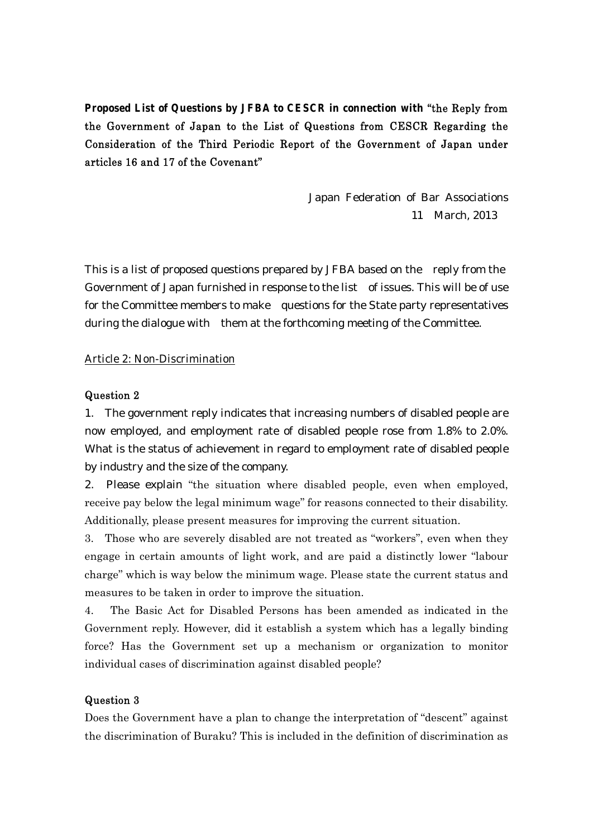**Proposed List of Questions by JFBA to CESCR in connection with** "the Reply from the Government of Japan to the List of Questions from CESCR Regarding the Consideration of the Third Periodic Report of the Government of Japan under articles 16 and 17 of the Covenant"

> Japan Federation of Bar Associations 11 March, 2013

This is a list of proposed questions prepared by JFBA based on the reply from the Government of Japan furnished in response to the list of issues. This will be of use for the Committee members to make questions for the State party representatives during the dialogue with them at the forthcoming meeting of the Committee.

## *Article 2: Non-Discrimination*

#### Question 2

1. The government reply indicates that increasing numbers of disabled people are now employed, and employment rate of disabled people rose from 1.8% to 2.0%. What is the status of achievement in regard to employment rate of disabled people by industry and the size of the company.

2. Please explain "the situation where disabled people, even when employed, receive pay below the legal minimum wage" for reasons connected to their disability. Additionally, please present measures for improving the current situation.

3. Those who are severely disabled are not treated as "workers", even when they engage in certain amounts of light work, and are paid a distinctly lower "labour charge" which is way below the minimum wage. Please state the current status and measures to be taken in order to improve the situation.

4. The Basic Act for Disabled Persons has been amended as indicated in the Government reply. However, did it establish a system which has a legally binding force? Has the Government set up a mechanism or organization to monitor individual cases of discrimination against disabled people?

#### Question 3

Does the Government have a plan to change the interpretation of "descent" against the discrimination of Buraku? This is included in the definition of discrimination as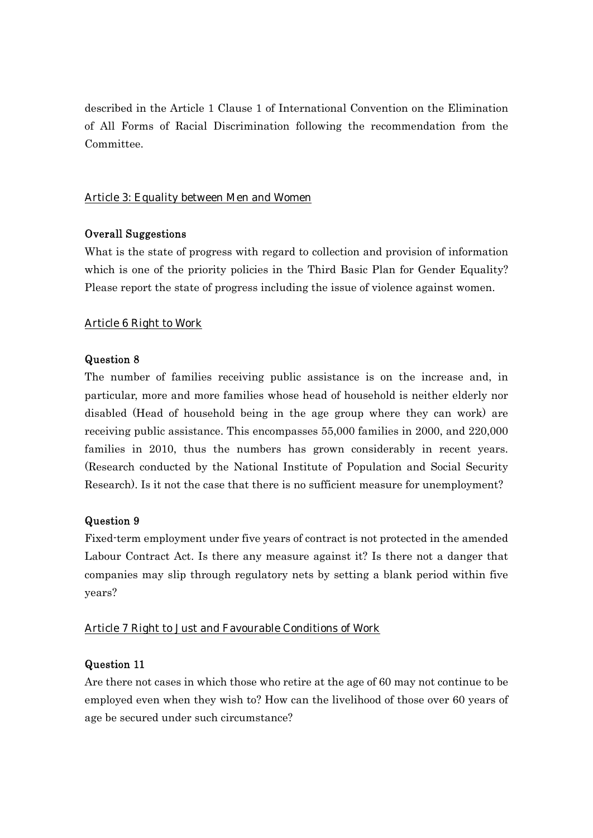described in the Article 1 Clause 1 of International Convention on the Elimination of All Forms of Racial Discrimination following the recommendation from the Committee.

## *Article 3: Equality between Men and Women*

## Overall Suggestions

What is the state of progress with regard to collection and provision of information which is one of the priority policies in the Third Basic Plan for Gender Equality? Please report the state of progress including the issue of violence against women.

## *Article 6 Right to Work*

## Question 8

The number of families receiving public assistance is on the increase and, in particular, more and more families whose head of household is neither elderly nor disabled (Head of household being in the age group where they can work) are receiving public assistance. This encompasses 55,000 families in 2000, and 220,000 families in 2010, thus the numbers has grown considerably in recent years. (Research conducted by the National Institute of Population and Social Security Research). Is it not the case that there is no sufficient measure for unemployment?

## Question 9

Fixed-term employment under five years of contract is not protected in the amended Labour Contract Act. Is there any measure against it? Is there not a danger that companies may slip through regulatory nets by setting a blank period within five years?

# *Article 7 Right to Just and Favourable Conditions of Work*

# Question 11

Are there not cases in which those who retire at the age of 60 may not continue to be employed even when they wish to? How can the livelihood of those over 60 years of age be secured under such circumstance?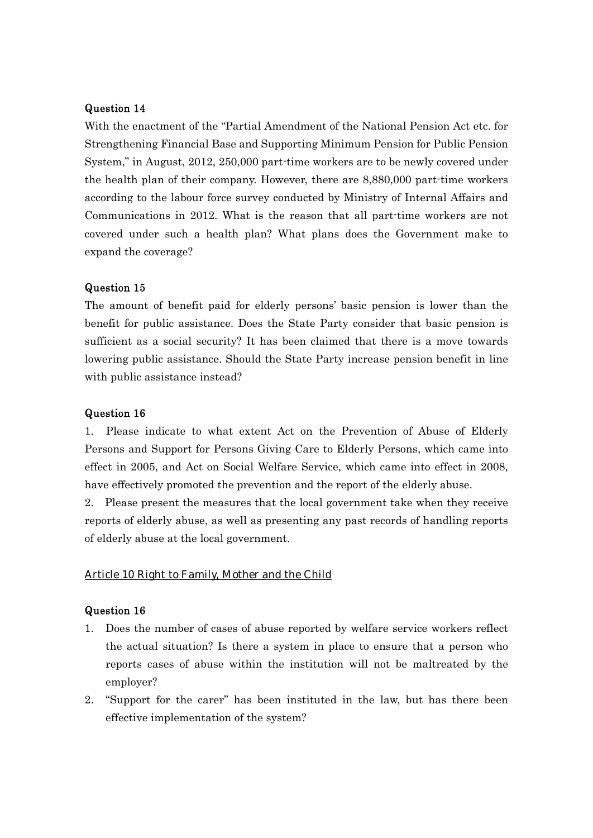## Question 14

With the enactment of the "Partial Amendment of the National Pension Act etc. for Strengthening Financial Base and Supporting Minimum Pension for Public Pension System," in August, 2012, 250,000 part-time workers are to be newly covered under the health plan of their company. However, there are 8,880,000 part-time workers according to the labour force survey conducted by Ministry of Internal Affairs and Communications in 2012. What is the reason that all part-time workers are not covered under such a health plan? What plans does the Government make to expand the coverage?

#### Question 15

The amount of benefit paid for elderly persons' basic pension is lower than the benefit for public assistance. Does the State Party consider that basic pension is sufficient as a social security? It has been claimed that there is a move towards lowering public assistance. Should the State Party increase pension benefit in line with public assistance instead?

#### Question 16

1. Please indicate to what extent Act on the Prevention of Abuse of Elderly Persons and Support for Persons Giving Care to Elderly Persons, which came into effect in 2005, and Act on Social Welfare Service, which came into effect in 2008, have effectively promoted the prevention and the report of the elderly abuse.

2. Please present the measures that the local government take when they receive reports of elderly abuse, as well as presenting any past records of handling reports of elderly abuse at the local government.

#### *Article 10 Right to Family, Mother and the Child*

#### Question 16

- 1. Does the number of cases of abuse reported by welfare service workers reflect the actual situation? Is there a system in place to ensure that a person who reports cases of abuse within the institution will not be maltreated by the employer?
- 2. "Support for the carer" has been instituted in the law, but has there been effective implementation of the system?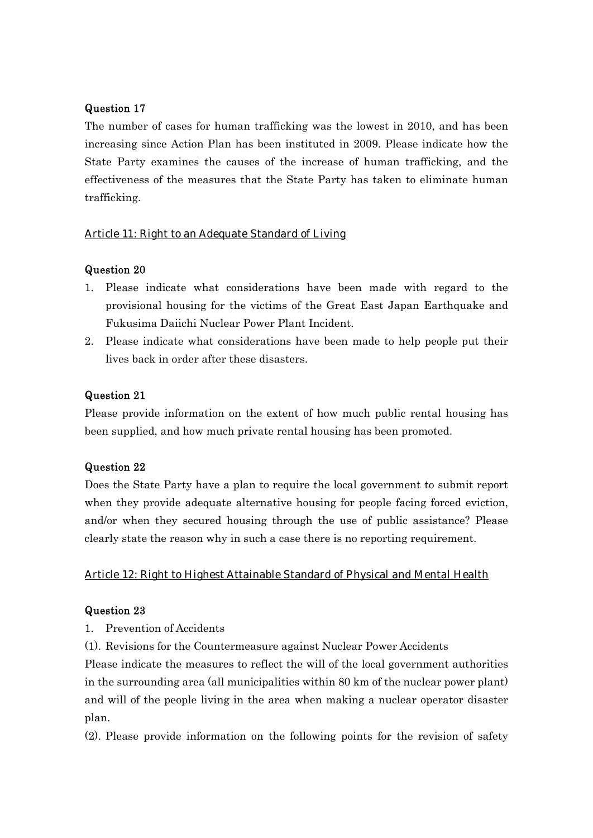# Question 17

The number of cases for human trafficking was the lowest in 2010, and has been increasing since Action Plan has been instituted in 2009. Please indicate how the State Party examines the causes of the increase of human trafficking, and the effectiveness of the measures that the State Party has taken to eliminate human trafficking.

# *Article 11: Right to an Adequate Standard of Living*

## Question 20

- 1. Please indicate what considerations have been made with regard to the provisional housing for the victims of the Great East Japan Earthquake and Fukusima Daiichi Nuclear Power Plant Incident.
- 2. Please indicate what considerations have been made to help people put their lives back in order after these disasters.

## Question 21

Please provide information on the extent of how much public rental housing has been supplied, and how much private rental housing has been promoted.

## Question 22

Does the State Party have a plan to require the local government to submit report when they provide adequate alternative housing for people facing forced eviction, and/or when they secured housing through the use of public assistance? Please clearly state the reason why in such a case there is no reporting requirement.

# *Article 12: Right to Highest Attainable Standard of Physical and Mental Health*

## Question 23

- 1. Prevention of Accidents
- (1). Revisions for the Countermeasure against Nuclear Power Accidents

Please indicate the measures to reflect the will of the local government authorities in the surrounding area (all municipalities within 80 km of the nuclear power plant) and will of the people living in the area when making a nuclear operator disaster plan.

(2). Please provide information on the following points for the revision of safety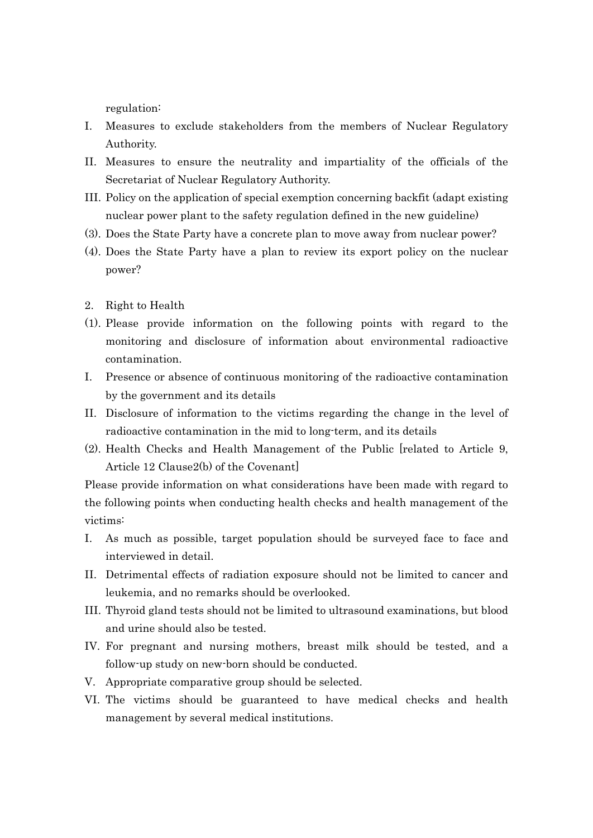regulation:

- I. Measures to exclude stakeholders from the members of Nuclear Regulatory Authority.
- II. Measures to ensure the neutrality and impartiality of the officials of the Secretariat of Nuclear Regulatory Authority.
- III. Policy on the application of special exemption concerning backfit (adapt existing nuclear power plant to the safety regulation defined in the new guideline)
- (3). Does the State Party have a concrete plan to move away from nuclear power?
- (4). Does the State Party have a plan to review its export policy on the nuclear power?
- 2. Right to Health
- (1). Please provide information on the following points with regard to the monitoring and disclosure of information about environmental radioactive contamination.
- I. Presence or absence of continuous monitoring of the radioactive contamination by the government and its details
- II. Disclosure of information to the victims regarding the change in the level of radioactive contamination in the mid to long-term, and its details
- (2). Health Checks and Health Management of the Public [related to Article 9, Article 12 Clause2(b) of the Covenant]

Please provide information on what considerations have been made with regard to the following points when conducting health checks and health management of the victims:

- I. As much as possible, target population should be surveyed face to face and interviewed in detail.
- II. Detrimental effects of radiation exposure should not be limited to cancer and leukemia, and no remarks should be overlooked.
- III. Thyroid gland tests should not be limited to ultrasound examinations, but blood and urine should also be tested.
- IV. For pregnant and nursing mothers, breast milk should be tested, and a follow-up study on new-born should be conducted.
- V. Appropriate comparative group should be selected.
- VI. The victims should be guaranteed to have medical checks and health management by several medical institutions.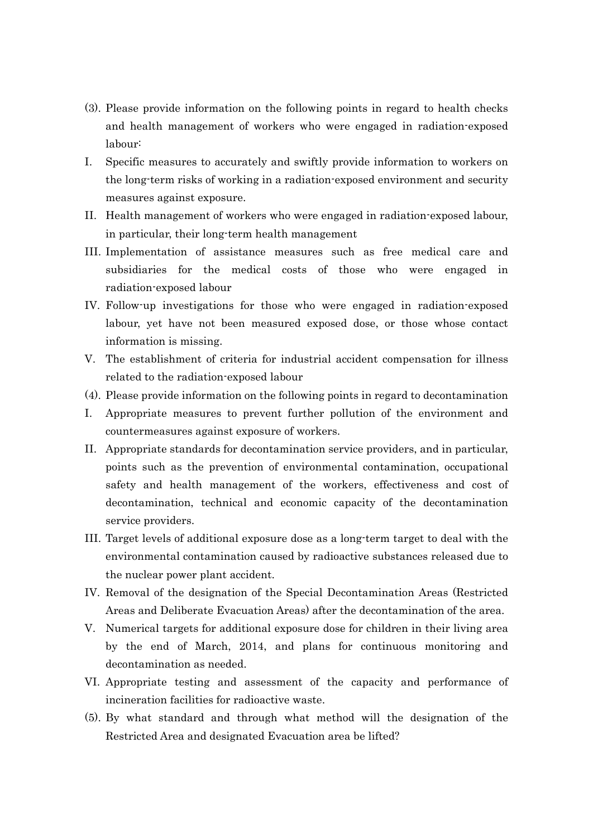- (3). Please provide information on the following points in regard to health checks and health management of workers who were engaged in radiation-exposed labour:
- I. Specific measures to accurately and swiftly provide information to workers on the long-term risks of working in a radiation-exposed environment and security measures against exposure.
- II. Health management of workers who were engaged in radiation-exposed labour, in particular, their long-term health management
- III. Implementation of assistance measures such as free medical care and subsidiaries for the medical costs of those who were engaged in radiation-exposed labour
- IV. Follow-up investigations for those who were engaged in radiation-exposed labour, yet have not been measured exposed dose, or those whose contact information is missing.
- V. The establishment of criteria for industrial accident compensation for illness related to the radiation-exposed labour
- (4). Please provide information on the following points in regard to decontamination
- I. Appropriate measures to prevent further pollution of the environment and countermeasures against exposure of workers.
- II. Appropriate standards for decontamination service providers, and in particular, points such as the prevention of environmental contamination, occupational safety and health management of the workers, effectiveness and cost of decontamination, technical and economic capacity of the decontamination service providers.
- III. Target levels of additional exposure dose as a long-term target to deal with the environmental contamination caused by radioactive substances released due to the nuclear power plant accident.
- IV. Removal of the designation of the Special Decontamination Areas (Restricted Areas and Deliberate Evacuation Areas) after the decontamination of the area.
- V. Numerical targets for additional exposure dose for children in their living area by the end of March, 2014, and plans for continuous monitoring and decontamination as needed.
- VI. Appropriate testing and assessment of the capacity and performance of incineration facilities for radioactive waste.
- (5). By what standard and through what method will the designation of the Restricted Area and designated Evacuation area be lifted?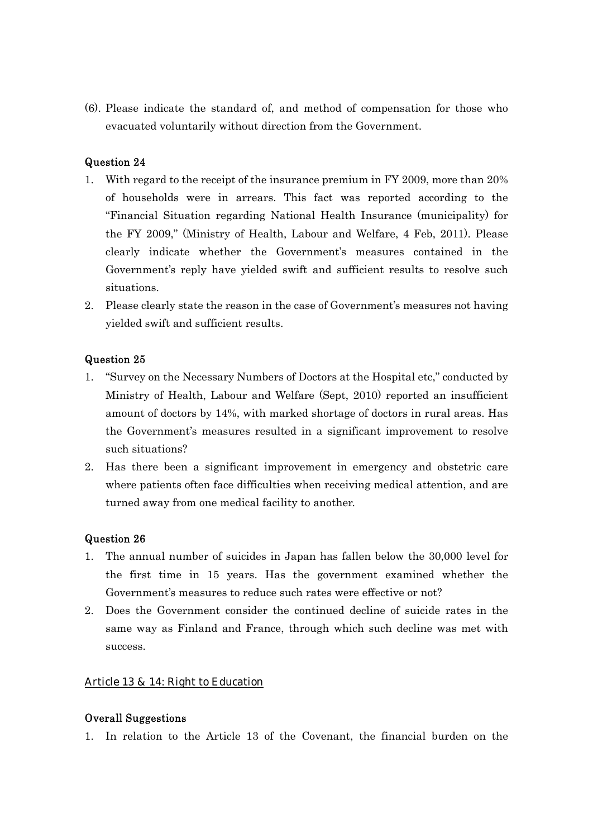(6). Please indicate the standard of, and method of compensation for those who evacuated voluntarily without direction from the Government.

## Question 24

- 1. With regard to the receipt of the insurance premium in FY 2009, more than 20% of households were in arrears. This fact was reported according to the "Financial Situation regarding National Health Insurance (municipality) for the FY 2009," (Ministry of Health, Labour and Welfare, 4 Feb, 2011). Please clearly indicate whether the Government's measures contained in the Government's reply have yielded swift and sufficient results to resolve such situations.
- 2. Please clearly state the reason in the case of Government's measures not having yielded swift and sufficient results.

## Question 25

- 1. "Survey on the Necessary Numbers of Doctors at the Hospital etc," conducted by Ministry of Health, Labour and Welfare (Sept, 2010) reported an insufficient amount of doctors by 14%, with marked shortage of doctors in rural areas. Has the Government's measures resulted in a significant improvement to resolve such situations?
- 2. Has there been a significant improvement in emergency and obstetric care where patients often face difficulties when receiving medical attention, and are turned away from one medical facility to another.

## Question 26

- 1. The annual number of suicides in Japan has fallen below the 30,000 level for the first time in 15 years. Has the government examined whether the Government's measures to reduce such rates were effective or not?
- 2. Does the Government consider the continued decline of suicide rates in the same way as Finland and France, through which such decline was met with success.

## *Article 13 & 14: Right to Education*

## Overall Suggestions

1. In relation to the Article 13 of the Covenant, the financial burden on the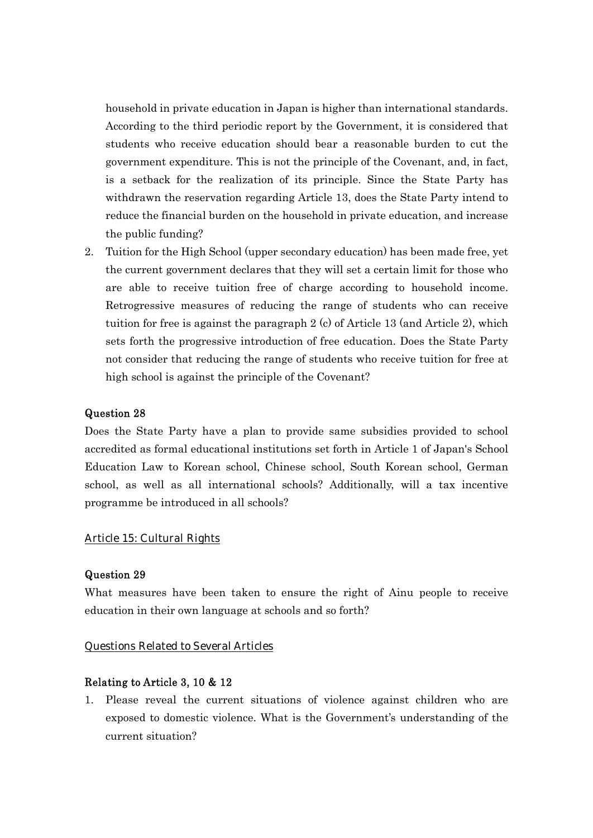household in private education in Japan is higher than international standards. According to the third periodic report by the Government, it is considered that students who receive education should bear a reasonable burden to cut the government expenditure. This is not the principle of the Covenant, and, in fact, is a setback for the realization of its principle. Since the State Party has withdrawn the reservation regarding Article 13, does the State Party intend to reduce the financial burden on the household in private education, and increase the public funding?

2. Tuition for the High School (upper secondary education) has been made free, yet the current government declares that they will set a certain limit for those who are able to receive tuition free of charge according to household income. Retrogressive measures of reducing the range of students who can receive tuition for free is against the paragraph 2 (c) of Article 13 (and Article 2), which sets forth the progressive introduction of free education. Does the State Party not consider that reducing the range of students who receive tuition for free at high school is against the principle of the Covenant?

## Question 28

Does the State Party have a plan to provide same subsidies provided to school accredited as formal educational institutions set forth in Article 1 of Japan's School Education Law to Korean school, Chinese school, South Korean school, German school, as well as all international schools? Additionally, will a tax incentive programme be introduced in all schools?

## *Article 15: Cultural Rights*

#### Question 29

What measures have been taken to ensure the right of Ainu people to receive education in their own language at schools and so forth?

#### *Questions Related to Several Articles*

#### Relating to Article 3, 10 & 12

1. Please reveal the current situations of violence against children who are exposed to domestic violence. What is the Government's understanding of the current situation?